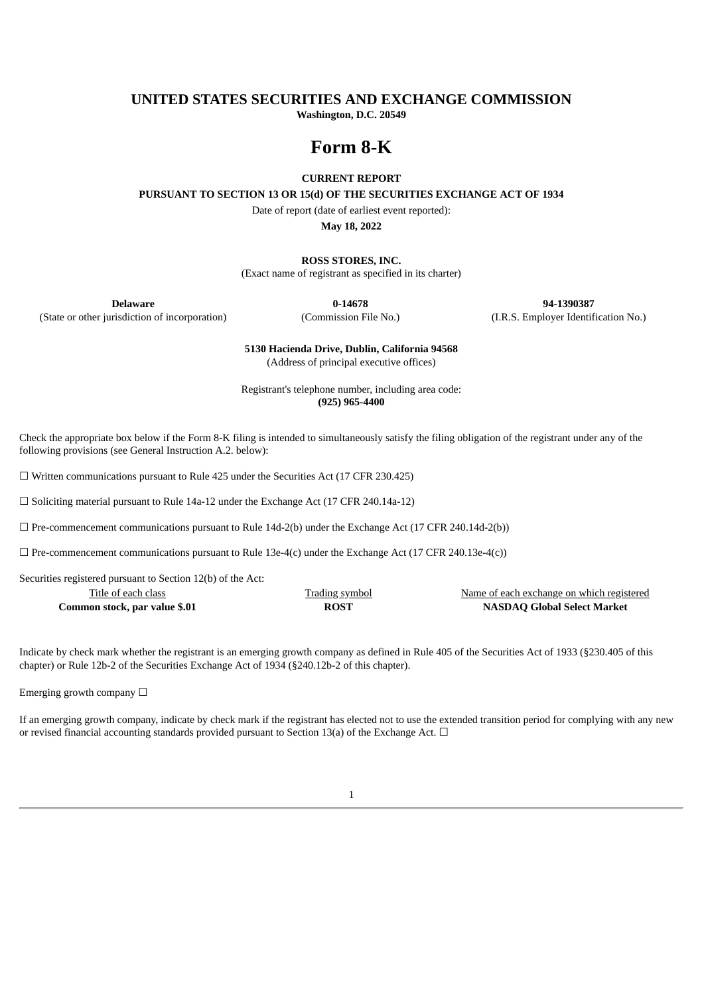# **UNITED STATES SECURITIES AND EXCHANGE COMMISSION**

**Washington, D.C. 20549**

# **Form 8-K**

#### **CURRENT REPORT**

**PURSUANT TO SECTION 13 OR 15(d) OF THE SECURITIES EXCHANGE ACT OF 1934**

Date of report (date of earliest event reported):

**May 18, 2022**

**ROSS STORES, INC.**

(Exact name of registrant as specified in its charter)

(State or other jurisdiction of incorporation) (Commission File No.) (I.R.S. Employer Identification No.)

**Delaware 0-14678 94-1390387**

**5130 Hacienda Drive, Dublin, California 94568** (Address of principal executive offices)

Registrant's telephone number, including area code: **(925) 965-4400**

Check the appropriate box below if the Form 8-K filing is intended to simultaneously satisfy the filing obligation of the registrant under any of the following provisions (see General Instruction A.2. below):

☐ Written communications pursuant to Rule 425 under the Securities Act (17 CFR 230.425)

☐ Soliciting material pursuant to Rule 14a-12 under the Exchange Act (17 CFR 240.14a-12)

 $\Box$  Pre-commencement communications pursuant to Rule 14d-2(b) under the Exchange Act (17 CFR 240.14d-2(b))

 $\Box$  Pre-commencement communications pursuant to Rule 13e-4(c) under the Exchange Act (17 CFR 240.13e-4(c))

Securities registered pursuant to Section 12(b) of the Act:

| Title of each class           | <b>Trading symbol</b> | Name of each exchange on which registered |
|-------------------------------|-----------------------|-------------------------------------------|
| Common stock, par value \$.01 | <b>ROST</b>           | <b>NASDAQ Global Select Market</b>        |

Indicate by check mark whether the registrant is an emerging growth company as defined in Rule 405 of the Securities Act of 1933 (§230.405 of this chapter) or Rule 12b-2 of the Securities Exchange Act of 1934 (§240.12b-2 of this chapter).

Emerging growth company  $\Box$ 

If an emerging growth company, indicate by check mark if the registrant has elected not to use the extended transition period for complying with any new or revised financial accounting standards provided pursuant to Section 13(a) of the Exchange Act.  $\Box$ 

1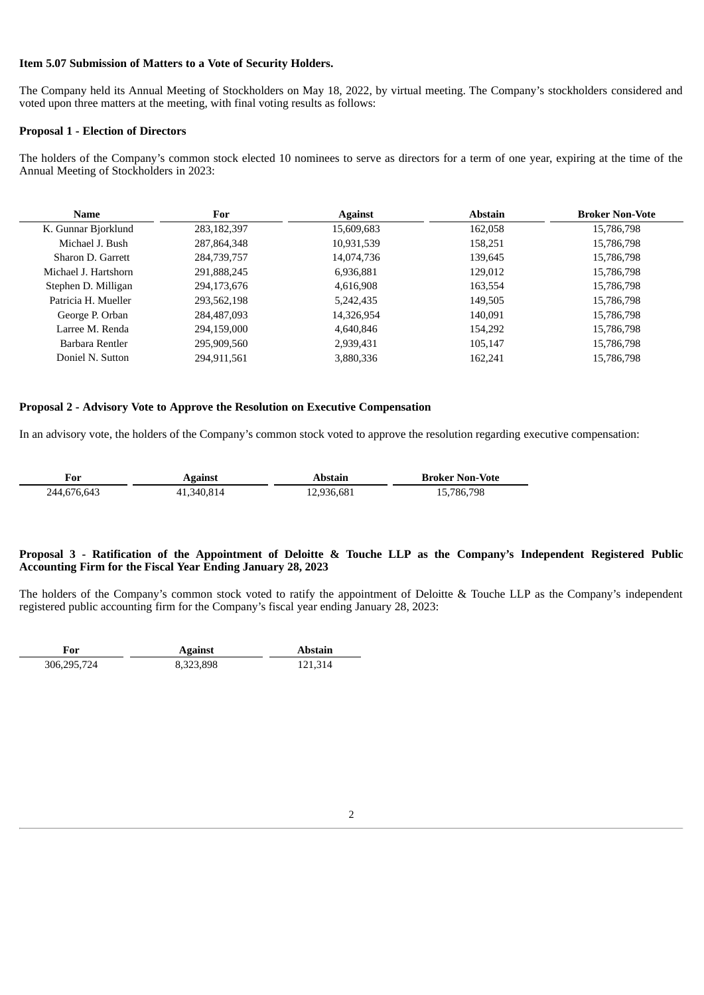#### **Item 5.07 Submission of Matters to a Vote of Security Holders.**

The Company held its Annual Meeting of Stockholders on May 18, 2022, by virtual meeting. The Company's stockholders considered and voted upon three matters at the meeting, with final voting results as follows:

#### **Proposal 1 - Election of Directors**

The holders of the Company's common stock elected 10 nominees to serve as directors for a term of one year, expiring at the time of the Annual Meeting of Stockholders in 2023:

| Name                 | For         | <b>Against</b> | <b>Abstain</b> | <b>Broker Non-Vote</b> |
|----------------------|-------------|----------------|----------------|------------------------|
| K. Gunnar Bjorklund  | 283,182,397 | 15,609,683     | 162,058        | 15,786,798             |
| Michael J. Bush      | 287,864,348 | 10,931,539     | 158,251        | 15,786,798             |
| Sharon D. Garrett    | 284,739,757 | 14,074,736     | 139,645        | 15,786,798             |
| Michael J. Hartshorn | 291,888,245 | 6,936,881      | 129,012        | 15,786,798             |
| Stephen D. Milligan  | 294,173,676 | 4,616,908      | 163,554        | 15,786,798             |
| Patricia H. Mueller  | 293,562,198 | 5,242,435      | 149,505        | 15,786,798             |
| George P. Orban      | 284,487,093 | 14,326,954     | 140,091        | 15,786,798             |
| Larree M. Renda      | 294,159,000 | 4.640.846      | 154.292        | 15,786,798             |
| Barbara Rentler      | 295,909,560 | 2,939,431      | 105,147        | 15,786,798             |
| Doniel N. Sutton     | 294,911,561 | 3,880,336      | 162,241        | 15,786,798             |

# **Proposal 2 - Advisory Vote to Approve the Resolution on Executive Compensation**

In an advisory vote, the holders of the Company's common stock voted to approve the resolution regarding executive compensation:

| For         | <b>Against</b> | Abstain    | <b>Broker Non-Vote</b> |
|-------------|----------------|------------|------------------------|
| 244,676,643 | 41,340,814     | 12,936,681 | 15,786,798             |

#### Proposal 3 - Ratification of the Appointment of Deloitte & Touche LLP as the Company's Independent Registered Public **Accounting Firm for the Fiscal Year Ending January 28, 2023**

The holders of the Company's common stock voted to ratify the appointment of Deloitte & Touche LLP as the Company's independent registered public accounting firm for the Company's fiscal year ending January 28, 2023:

| ₹or         | <b>Against</b> | Abstain |
|-------------|----------------|---------|
| 306,295,724 | 8,323,898      | 121.314 |